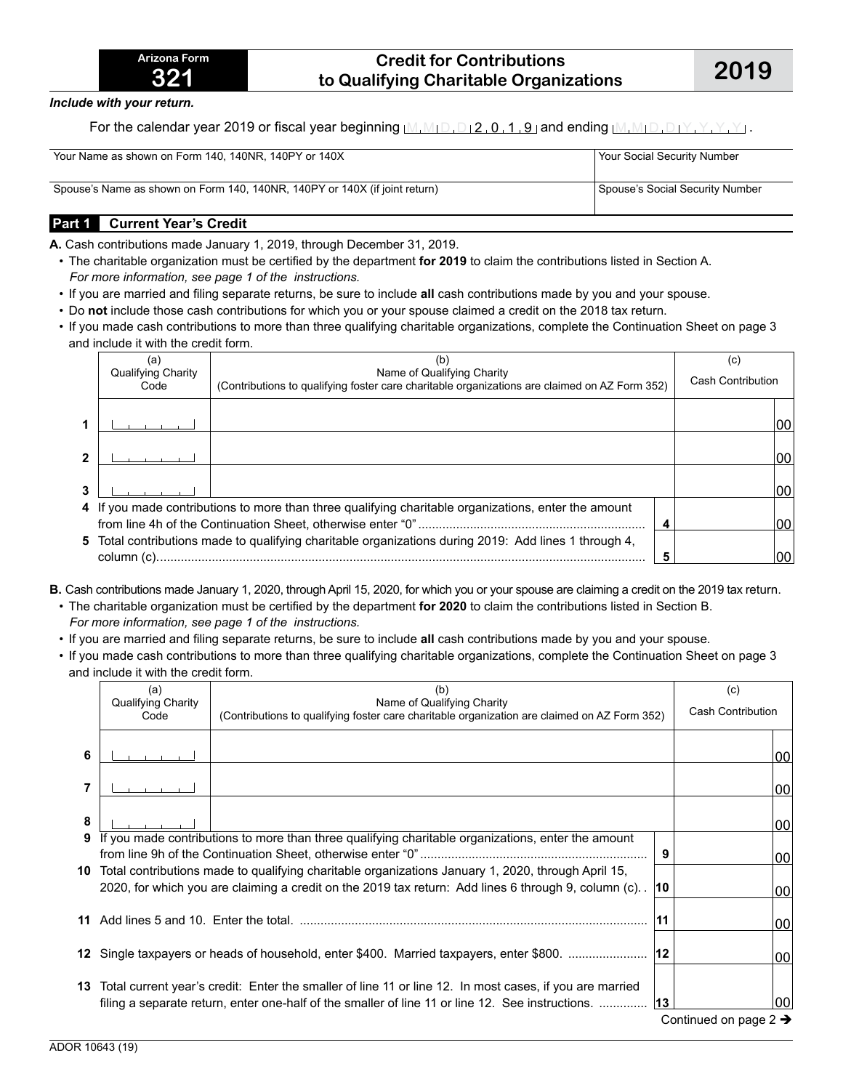### **Credit for Contributions to Qualifying Charitable Organizations 2019**

*Include with your return.* 

For the calendar year 2019 or fiscal year beginning  $M_1M_1D_1D_12_1O_11_19_1$  and ending  $M_1M_1D_1D_1Y_1Y_1Y_1Y_1$ .

| Your Name as shown on Form 140, 140NR, 140PY or 140X                       | Your Social Security Number     |
|----------------------------------------------------------------------------|---------------------------------|
| Spouse's Name as shown on Form 140, 140NR, 140PY or 140X (if joint return) | Spouse's Social Security Number |

### **Part 1 Current Year's Credit**

**A.** Cash contributions made January 1, 2019, through December 31, 2019.

- The charitable organization must be certified by the department **for 2019** to claim the contributions listed in Section A. *For more information, see page 1 of the instructions.*
- If you are married and filing separate returns, be sure to include **all** cash contributions made by you and your spouse.
- Do **not** include those cash contributions for which you or your spouse claimed a credit on the 2018 tax return.
- If you made cash contributions to more than three qualifying charitable organizations, complete the Continuation Sheet on page 3 and include it with the credit form.

| (a)                        | (b)                                                                                                                         | (C)                      |     |
|----------------------------|-----------------------------------------------------------------------------------------------------------------------------|--------------------------|-----|
| Qualifying Charity<br>Code | Name of Qualifying Charity<br>(Contributions to qualifying foster care charitable organizations are claimed on AZ Form 352) | <b>Cash Contribution</b> |     |
|                            |                                                                                                                             |                          |     |
|                            |                                                                                                                             |                          |     |
|                            |                                                                                                                             |                          | 00  |
|                            |                                                                                                                             |                          |     |
|                            |                                                                                                                             |                          | 100 |
|                            |                                                                                                                             |                          |     |
|                            |                                                                                                                             |                          | 00  |
|                            | 4 If you made contributions to more than three qualifying charitable organizations, enter the amount                        |                          |     |
|                            |                                                                                                                             |                          | 0C  |
|                            | 5 Total contributions made to qualifying charitable organizations during 2019: Add lines 1 through 4,                       |                          |     |
| column (c).                |                                                                                                                             |                          | oc  |

**B.** Cash contributions made January 1, 2020, through April 15, 2020, for which you or your spouse are claiming a credit on the 2019 tax return.

• The charitable organization must be certified by the department **for 2020** to claim the contributions listed in Section B. *For more information, see page 1 of the instructions.*

• If you are married and filing separate returns, be sure to include **all** cash contributions made by you and your spouse.

• If you made cash contributions to more than three qualifying charitable organizations, complete the Continuation Sheet on page 3 and include it with the credit form.

|    | (a)                        | (b)                                                                                                                                                                                                             |              | (c)                               |     |
|----|----------------------------|-----------------------------------------------------------------------------------------------------------------------------------------------------------------------------------------------------------------|--------------|-----------------------------------|-----|
|    | Qualifying Charity<br>Code | Name of Qualifying Charity<br>(Contributions to qualifying foster care charitable organization are claimed on AZ Form 352)                                                                                      |              | <b>Cash Contribution</b>          |     |
| 6  |                            |                                                                                                                                                                                                                 |              |                                   | 100 |
|    |                            |                                                                                                                                                                                                                 |              |                                   | 00  |
| 8  |                            |                                                                                                                                                                                                                 |              |                                   | 00  |
| 9  |                            | If you made contributions to more than three qualifying charitable organizations, enter the amount                                                                                                              | 9            |                                   | 00  |
| 10 |                            | Total contributions made to qualifying charitable organizations January 1, 2020, through April 15,<br>2020, for which you are claiming a credit on the 2019 tax return: Add lines 6 through 9, column (c). [10] |              |                                   | 00  |
| 11 |                            |                                                                                                                                                                                                                 | 11           |                                   | 00  |
|    |                            |                                                                                                                                                                                                                 |              |                                   | 00  |
|    |                            | 13 Total current year's credit: Enter the smaller of line 11 or line 12. In most cases, if you are married<br>filing a separate return, enter one-half of the smaller of line 11 or line 12. See instructions.  | $ 13\rangle$ | Continued on page $2 \rightarrow$ | 00  |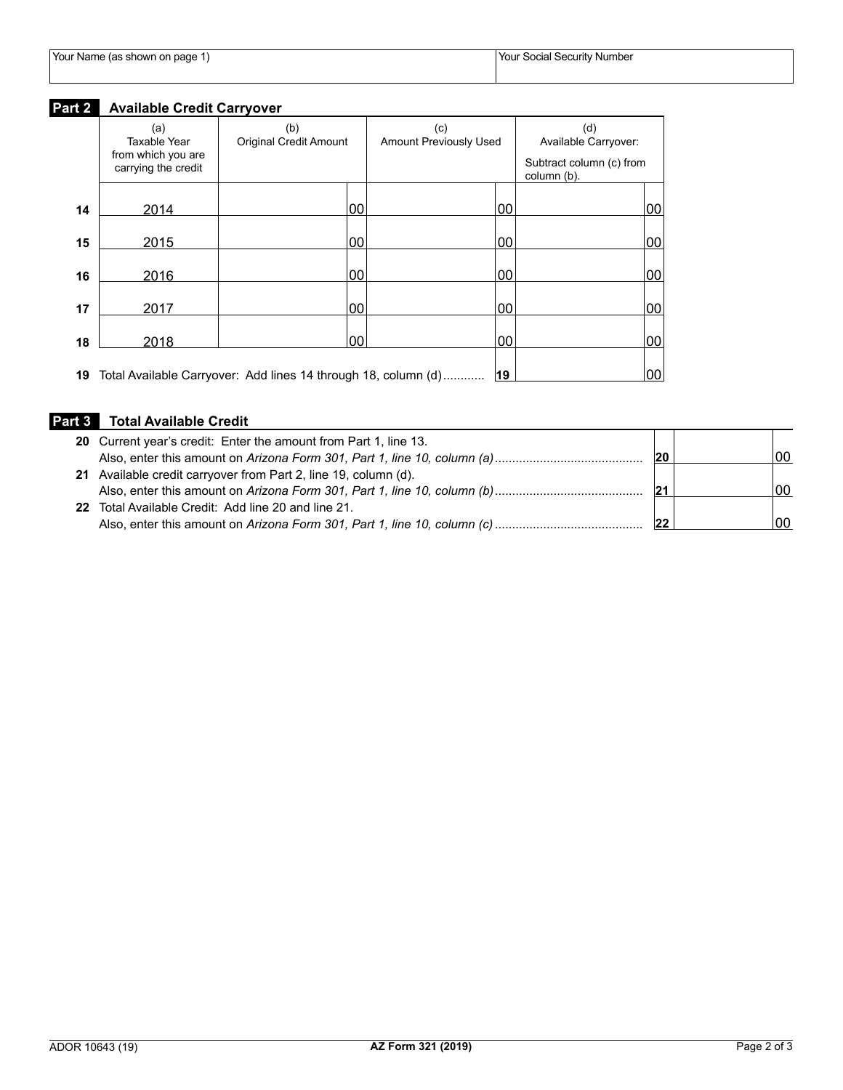|  |  | Your Name (as shown on page 1) |
|--|--|--------------------------------|
|--|--|--------------------------------|

# **Part 2 Available Credit Carryover**

|    | (a)                                       | (b)                                                               | (c)                           |    | (d)                                     |    |
|----|-------------------------------------------|-------------------------------------------------------------------|-------------------------------|----|-----------------------------------------|----|
|    | Taxable Year                              | <b>Original Credit Amount</b>                                     | <b>Amount Previously Used</b> |    | Available Carryover:                    |    |
|    | from which you are<br>carrying the credit |                                                                   |                               |    | Subtract column (c) from<br>column (b). |    |
| 14 | 2014                                      | 00                                                                |                               | 00 |                                         | 00 |
| 15 | 2015                                      | 00                                                                |                               | 00 |                                         | 00 |
| 16 | 2016                                      | 00                                                                |                               | 00 |                                         | 00 |
| 17 | 2017                                      | 00                                                                |                               | 00 |                                         | 00 |
| 18 | 2018                                      | 00                                                                |                               | 00 |                                         | 00 |
|    |                                           | 19 Total Available Carryover: Add lines 14 through 18, column (d) |                               | 19 |                                         | 00 |

## **Part 3 Total Available Credit**

| 20 Current year's credit: Enter the amount from Part 1, line 13. |     |     |
|------------------------------------------------------------------|-----|-----|
|                                                                  | 20  | 00  |
| 21 Available credit carryover from Part 2, line 19, column (d).  |     |     |
|                                                                  | '21 | .00 |
| 22 Total Available Credit: Add line 20 and line 21.              |     |     |
|                                                                  |     | 00  |